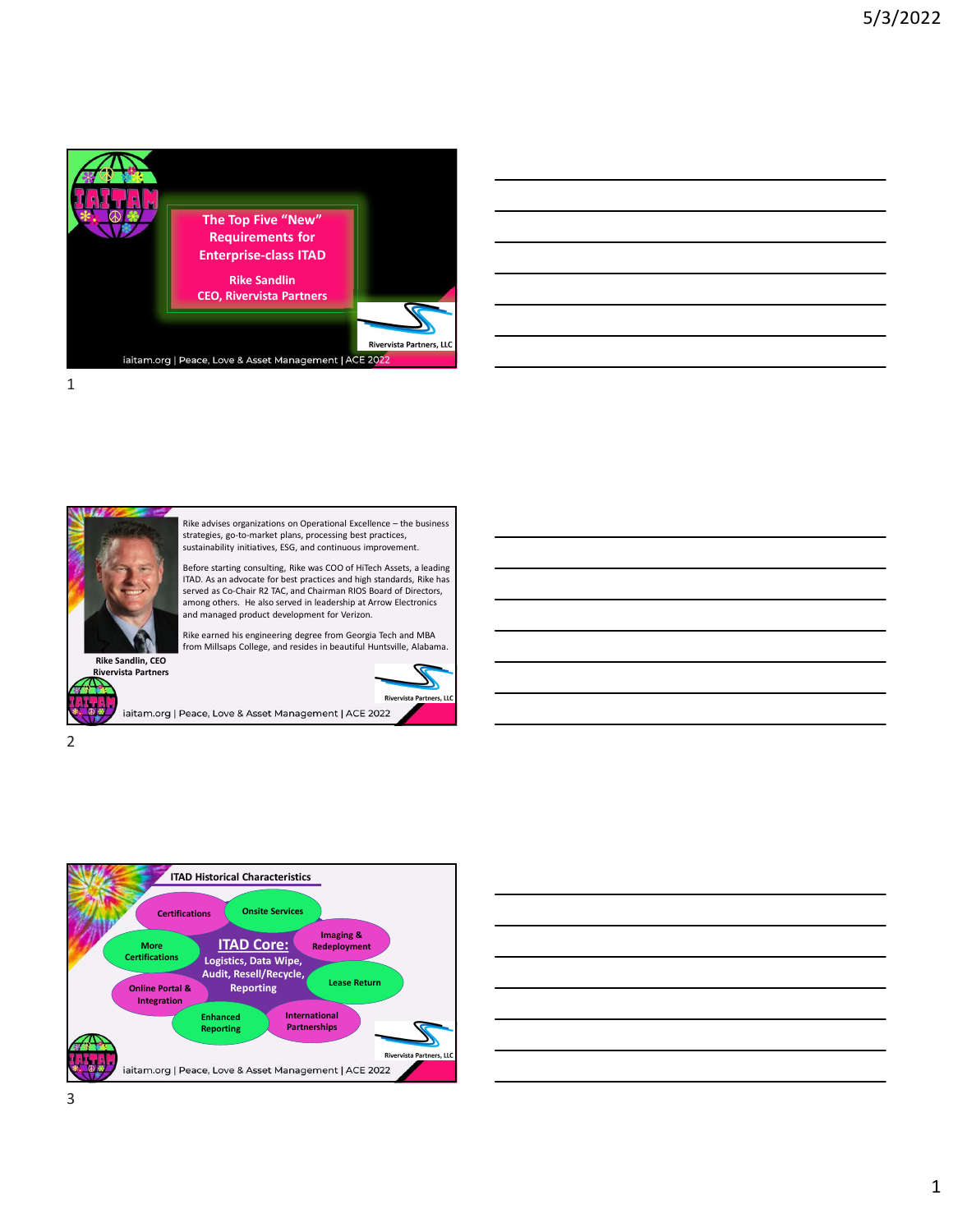

| ,我们也不会有什么。""我们的人,我们也不会有什么?""我们的人,我们也不会有什么?""我们的人,我们也不会有什么?""我们的人,我们也不会有什么?""我们的人 |                                                                                 |  |  |
|----------------------------------------------------------------------------------|---------------------------------------------------------------------------------|--|--|
|                                                                                  |                                                                                 |  |  |
| ,我们也不会有什么?""我们的人,我们也不会有什么?""我们的人,我们也不会有什么?""我们的人,我们也不会有什么?""我们的人,我们也不会有什么?""我们的人 |                                                                                 |  |  |
| <u> 1989 - Johann Barn, amerikansk politiker (d. 1989)</u>                       |                                                                                 |  |  |
|                                                                                  | the contract of the contract of the contract of the contract of the contract of |  |  |







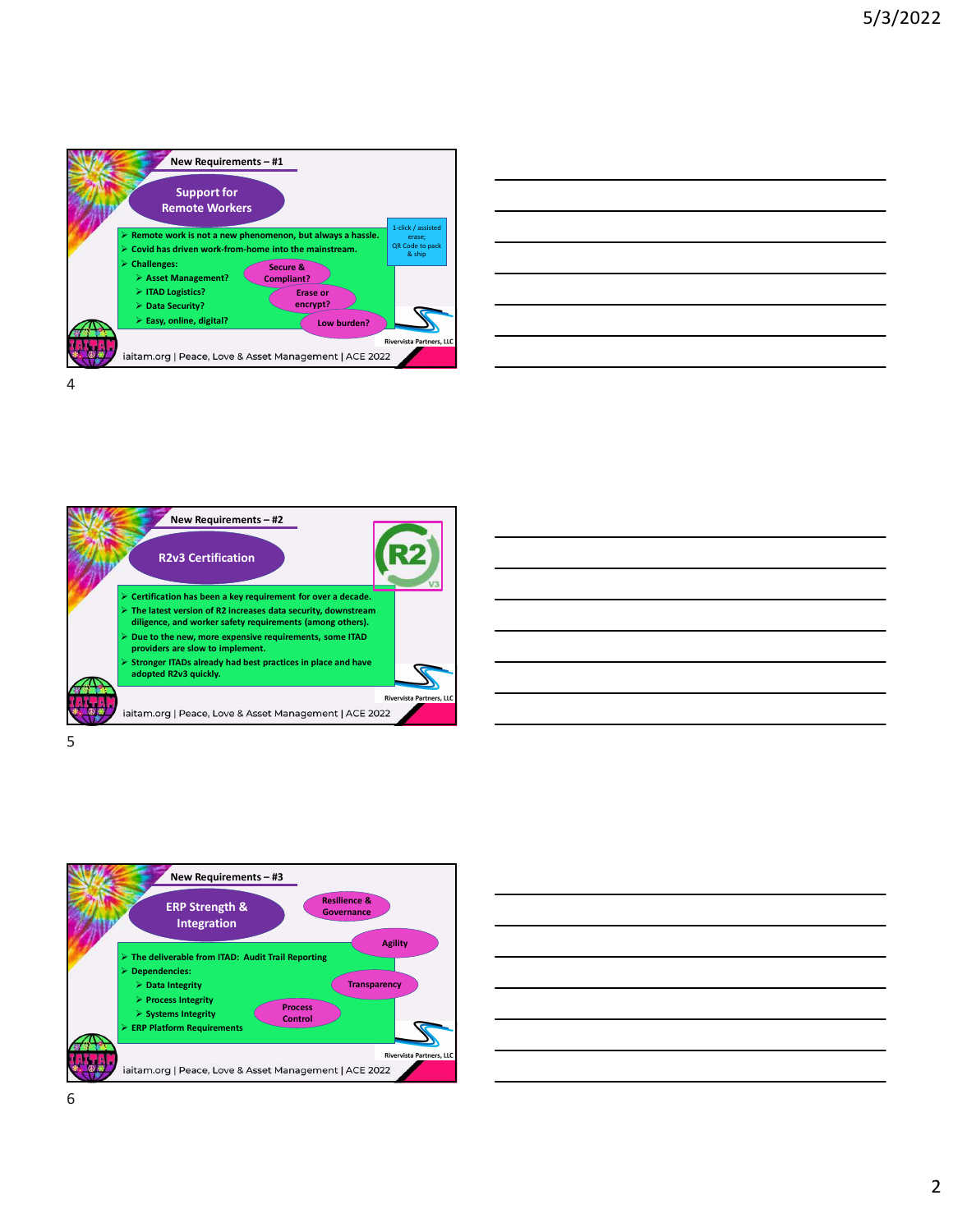

| ilways a hassle. | 1-click / assisted        |  |  |  |  |
|------------------|---------------------------|--|--|--|--|
|                  | erase;<br>QR Code to pack |  |  |  |  |
| instream.        | & ship                    |  |  |  |  |
|                  |                           |  |  |  |  |
|                  |                           |  |  |  |  |
| or               |                           |  |  |  |  |
| pt?              |                           |  |  |  |  |
|                  |                           |  |  |  |  |
| Low burden?      |                           |  |  |  |  |
|                  |                           |  |  |  |  |
|                  | Rivervista Partners, LLC  |  |  |  |  |
| 1ent   ACE 2022  |                           |  |  |  |  |
|                  |                           |  |  |  |  |









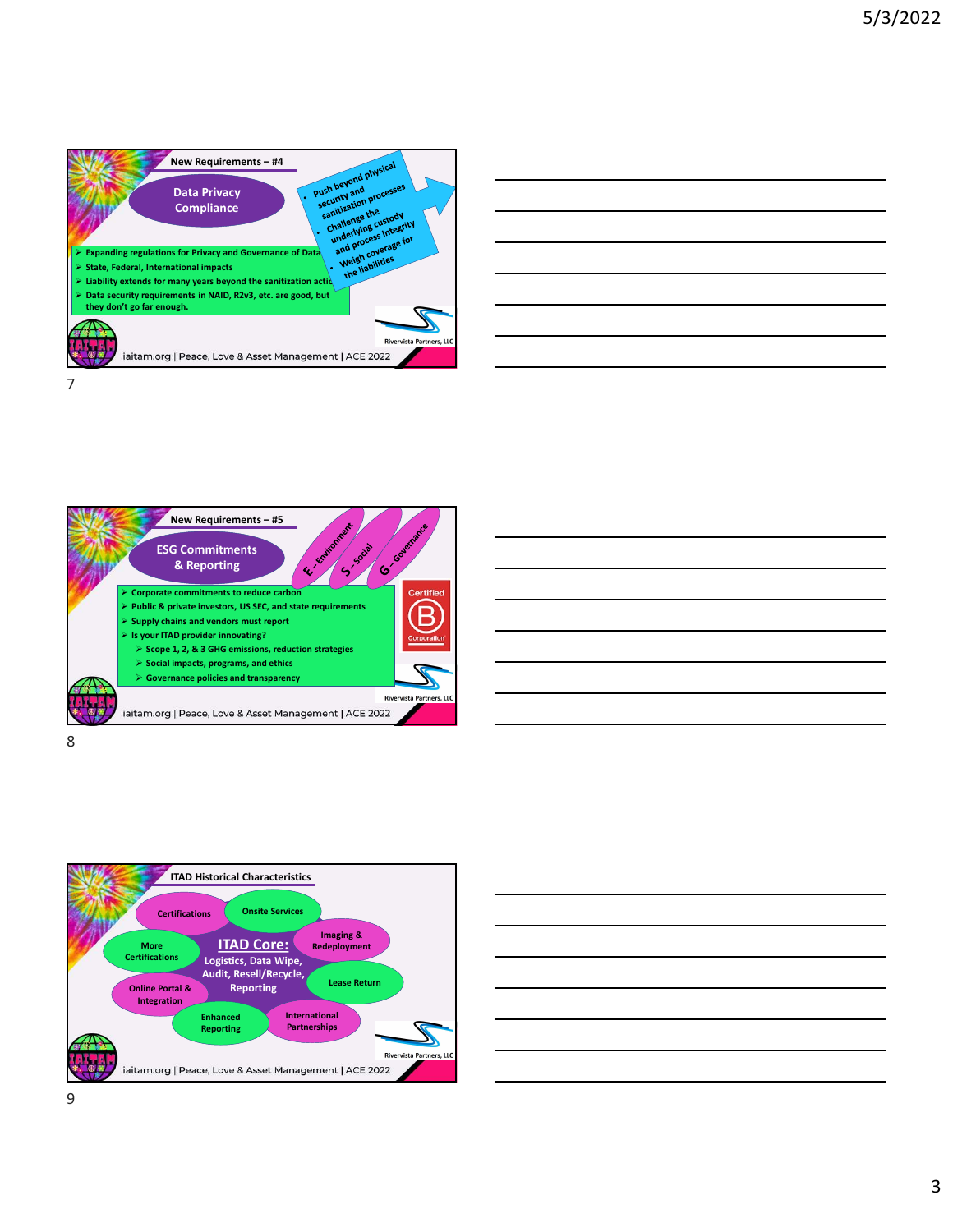

| <u> 1989 - Johann Stoff, deutscher Stoffen und der Stoffen und der Stoffen und der Stoffen und der Stoffen und de</u> |  |        |
|-----------------------------------------------------------------------------------------------------------------------|--|--------|
| <u> 1989 - Andrea Andrew Maria (h. 1989).</u>                                                                         |  |        |
|                                                                                                                       |  | ______ |
| <u> 1989 - Johann Stoff, deutscher Stoffen und der Stoffen und der Stoffen und der Stoffen und der Stoffen und de</u> |  |        |
|                                                                                                                       |  |        |
| the control of the control of the con-                                                                                |  |        |
| ,我们也不会有什么?""我们的人,我们也不会有什么?""我们的人,我们也不会有什么?""我们的人,我们也不会有什么?""我们的人,我们也不会有什么?""我们的人                                      |  |        |